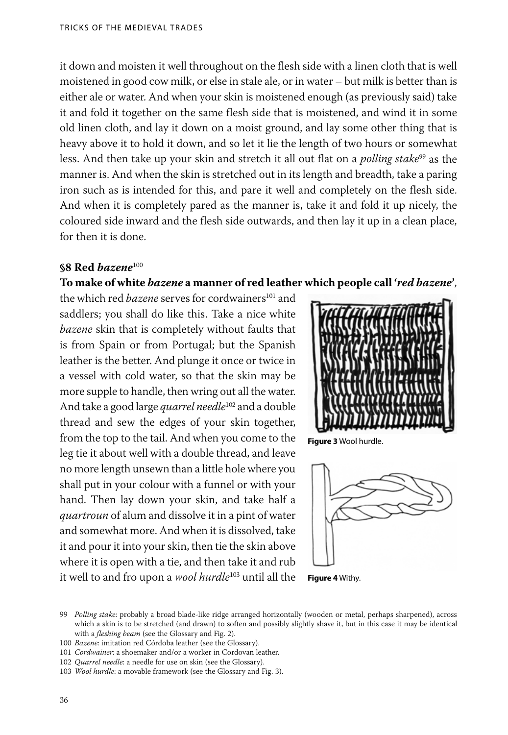it down and moisten it well throughout on the flesh side with a linen cloth that is well moistened in good cow milk, or else in stale ale, or in water – but milk is better than is either ale or water. And when your skin is moistened enough (as previously said) take it and fold it together on the same flesh side that is moistened, and wind it in some old linen cloth, and lay it down on a moist ground, and lay some other thing that is heavy above it to hold it down, and so let it lie the length of two hours or somewhat less. And then take up your skin and stretch it all out flat on a *polling stake*99 as the manner is. And when the skin is stretched out in its length and breadth, take a paring iron such as is intended for this, and pare it well and completely on the flesh side. And when it is completely pared as the manner is, take it and fold it up nicely, the coloured side inward and the flesh side outwards, and then lay it up in a clean place, for then it is done.

#### **§8 Red** *bazene*<sup>100</sup>

# **To make of white** *bazene* **a manner of red leather which people call '***red bazene***'**,

the which red *bazene* serves for cordwainers<sup>101</sup> and saddlers; you shall do like this. Take a nice white *bazene* skin that is completely without faults that is from Spain or from Portugal; but the Spanish leather is the better. And plunge it once or twice in a vessel with cold water, so that the skin may be more supple to handle, then wring out all the water. And take a good large *quarrel needle*102 and a double thread and sew the edges of your skin together, from the top to the tail. And when you come to the leg tie it about well with a double thread, and leave no more length unsewn than a little hole where you shall put in your colour with a funnel or with your hand. Then lay down your skin, and take half a *quartroun* of alum and dissolve it in a pint of water and somewhat more. And when it is dissolved, take it and pour it into your skin, then tie the skin above where it is open with a tie, and then take it and rub it well to and fro upon a *wool hurdle*103 until all the



**Figure 3** Wool hurdle.



**Figure 4** Withy.

<sup>99</sup> *Polling stake*: probably a broad blade-like ridge arranged horizontally (wooden or metal, perhaps sharpened), across which a skin is to be stretched (and drawn) to soften and possibly slightly shave it, but in this case it may be identical with a *fleshing beam* (see the Glossary and Fig. 2).

<sup>100</sup> *Bazene*: imitation red Córdoba leather (see the Glossary).

<sup>101</sup> *Cordwainer*: a shoemaker and/or a worker in Cordovan leather.

<sup>102</sup> *Quarrel needle*: a needle for use on skin (see the Glossary).

<sup>103</sup> *Wool hurdle*: a movable framework (see the Glossary and Fig. 3).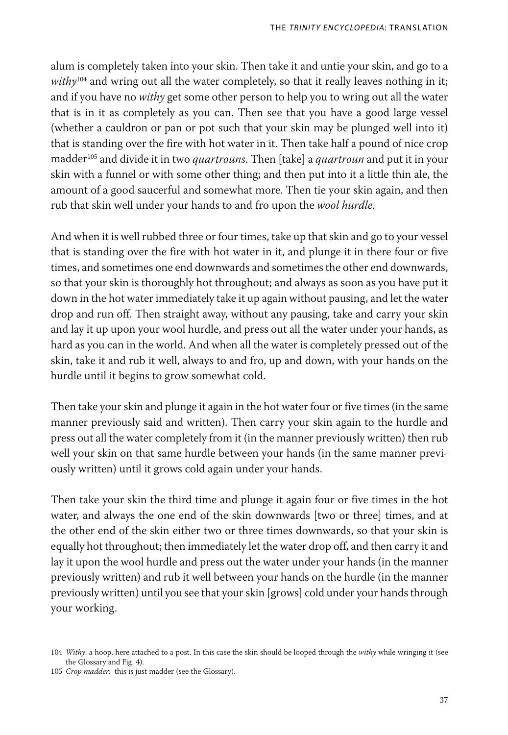alum is completely taken into your skin. Then take it and untie your skin, and go to a withy<sup>104</sup> and wring out all the water completely, so that it really leaves nothing in it; and if you have no *withy* get some other person to help you to wring out all the water that is in it as completely as you can. Then see that you have a good large vessel (whether a cauldron or pan or pot such that your skin may be plunged well into it) that is standing over the fire with hot water in it. Then take half a pound of nice crop madder105 and divide it in two *quartrouns*. Then [take] a *quartroun* and put it in your skin with a funnel or with some other thing; and then put into it a little thin ale, the amount of a good saucerful and somewhat more. Then tie your skin again, and then rub that skin well under your hands to and fro upon the *wool hurdle*.

And when it is well rubbed three or four times, take up that skin and go to your vessel that is standing over the fire with hot water in it, and plunge it in there four or five times, and sometimes one end downwards and sometimes the other end downwards, so that your skin is thoroughly hot throughout; and always as soon as you have put it down in the hot water immediately take it up again without pausing, and let the water drop and run off. Then straight away, without any pausing, take and carry your skin and lay it up upon your wool hurdle, and press out all the water under your hands, as hard as you can in the world. And when all the water is completely pressed out of the skin, take it and rub it well, always to and fro, up and down, with your hands on the hurdle until it begins to grow somewhat cold.

Then take your skin and plunge it again in the hot water four or five times (in the same manner previously said and written). Then carry your skin again to the hurdle and press out all the water completely from it (in the manner previously written) then rub well your skin on that same hurdle between your hands (in the same manner previously written) until it grows cold again under your hands.

Then take your skin the third time and plunge it again four or five times in the hot water, and always the one end of the skin downwards [two or three] times, and at the other end of the skin either two or three times downwards, so that your skin is equally hot throughout; then immediately let the water drop off, and then carry it and lay it upon the wool hurdle and press out the water under your hands (in the manner previously written) and rub it well between your hands on the hurdle (in the manner previously written) until you see that your skin [grows] cold under your hands through your working.

<sup>104</sup> *Withy*: a hoop, here attached to a post. In this case the skin should be looped through the *withy* while wringing it (see the Glossary and Fig. 4).

<sup>105</sup> *Crop madder*: this is just madder (see the Glossary).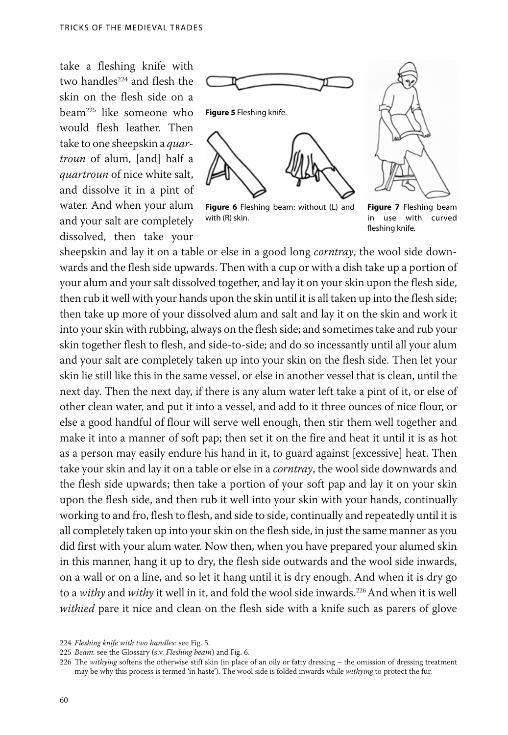take a fleshing knife with two handles<sup>224</sup> and flesh the skin on the flesh side on a beam225 like someone who would flesh leather. Then take to one sheepskin a *quartroun* of alum, [and] half a *quartroun* of nice white salt, and dissolve it in a pint of water. And when your alum and your salt are completely dissolved, then take your



**Figure 6** Fleshing beam: without (L) and with (R) skin.



**Figure 7** Fleshing beam in use with curved fleshing knife.

sheepskin and lay it on a table or else in a good long *corntray*, the wool side downwards and the flesh side upwards. Then with a cup or with a dish take up a portion of your alum and your salt dissolved together, and lay it on your skin upon the flesh side, then rub it well with your hands upon the skin until it is all taken up into the flesh side; then take up more of your dissolved alum and salt and lay it on the skin and work it into your skin with rubbing, always on the flesh side; and sometimes take and rub your skin together flesh to flesh, and side-to-side; and do so incessantly until all your alum and your salt are completely taken up into your skin on the flesh side. Then let your skin lie still like this in the same vessel, or else in another vessel that is clean, until the next day. Then the next day, if there is any alum water left take a pint of it, or else of other clean water, and put it into a vessel, and add to it three ounces of nice flour, or else a good handful of flour will serve well enough, then stir them well together and make it into a manner of soft pap; then set it on the fire and heat it until it is as hot as a person may easily endure his hand in it, to guard against [excessive] heat. Then take your skin and lay it on a table or else in a *corntray*, the wool side downwards and the flesh side upwards; then take a portion of your soft pap and lay it on your skin upon the flesh side, and then rub it well into your skin with your hands, continually working to and fro, flesh to flesh, and side to side, continually and repeatedly until it is all completely taken up into your skin on the flesh side, in just the same manner as you did first with your alum water. Now then, when you have prepared your alumed skin in this manner, hang it up to dry, the flesh side outwards and the wool side inwards, on a wall or on a line, and so let it hang until it is dry enough. And when it is dry go to a *withy* and *withy* it well in it, and fold the wool side inwards.226 And when it is well *withied* pare it nice and clean on the flesh side with a knife such as parers of glove

<sup>224</sup> *Fleshing knife with two handles:* see Fig. 5.

<sup>225</sup> *Beam*: see the Glossary (s.v. *Fleshing beam*) and Fig. 6.

<sup>226</sup> The *withying* softens the otherwise stiff skin (in place of an oily or fatty dressing – the omission of dressing treatment may be why this process is termed 'in haste'). The wool side is folded inwards while *withying* to protect the fur.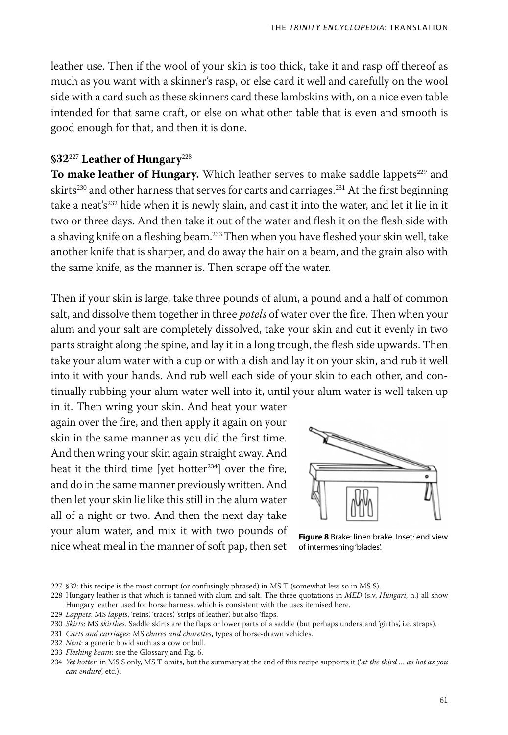leather use. Then if the wool of your skin is too thick, take it and rasp off thereof as much as you want with a skinner's rasp, or else card it well and carefully on the wool side with a card such as these skinners card these lambskins with, on a nice even table intended for that same craft, or else on what other table that is even and smooth is good enough for that, and then it is done.

# **§32**<sup>227</sup> **Leather of Hungary**<sup>228</sup>

To make leather of Hungary. Which leather serves to make saddle lappets<sup>229</sup> and skirts<sup>230</sup> and other harness that serves for carts and carriages.<sup>231</sup> At the first beginning take a neat's<sup>232</sup> hide when it is newly slain, and cast it into the water, and let it lie in it two or three days. And then take it out of the water and flesh it on the flesh side with a shaving knife on a fleshing beam.<sup>233</sup> Then when you have fleshed your skin well, take another knife that is sharper, and do away the hair on a beam, and the grain also with the same knife, as the manner is. Then scrape off the water.

Then if your skin is large, take three pounds of alum, a pound and a half of common salt, and dissolve them together in three *potels* of water over the fire. Then when your alum and your salt are completely dissolved, take your skin and cut it evenly in two parts straight along the spine, and lay it in a long trough, the flesh side upwards. Then take your alum water with a cup or with a dish and lay it on your skin, and rub it well into it with your hands. And rub well each side of your skin to each other, and continually rubbing your alum water well into it, until your alum water is well taken up

in it. Then wring your skin. And heat your water again over the fire, and then apply it again on your skin in the same manner as you did the first time. And then wring your skin again straight away. And heat it the third time [yet hotter $234$ ] over the fire, and do in the same manner previously written. And then let your skin lie like this still in the alum water all of a night or two. And then the next day take your alum water, and mix it with two pounds of nice wheat meal in the manner of soft pap, then set



**Figure 8** Brake: linen brake. Inset: end view of intermeshing 'blades'.

229 *Lappets*: MS *lappis*, 'reins', 'traces', 'strips of leather', but also 'flaps'.

233 *Fleshing beam*: see the Glossary and Fig. 6.

<sup>227 §32:</sup> this recipe is the most corrupt (or confusingly phrased) in MS T (somewhat less so in MS S).

<sup>228</sup> Hungary leather is that which is tanned with alum and salt. The three quotations in *MED* (s.v. *Hungari*, n.) all show Hungary leather used for horse harness, which is consistent with the uses itemised here.

<sup>230</sup> *Skirts*: MS *skirthes*. Saddle skirts are the flaps or lower parts of a saddle (but perhaps understand 'girths', i.e. straps).

<sup>231</sup> *Carts and carriages*: MS *chares and charettes*, types of horse-drawn vehicles.

<sup>232</sup> *Neat*: a generic bovid such as a cow or bull.

<sup>234</sup> *Yet hotter*: in MS S only, MS T omits, but the summary at the end of this recipe supports it ('*at the third … as hot as you can endure*', etc.).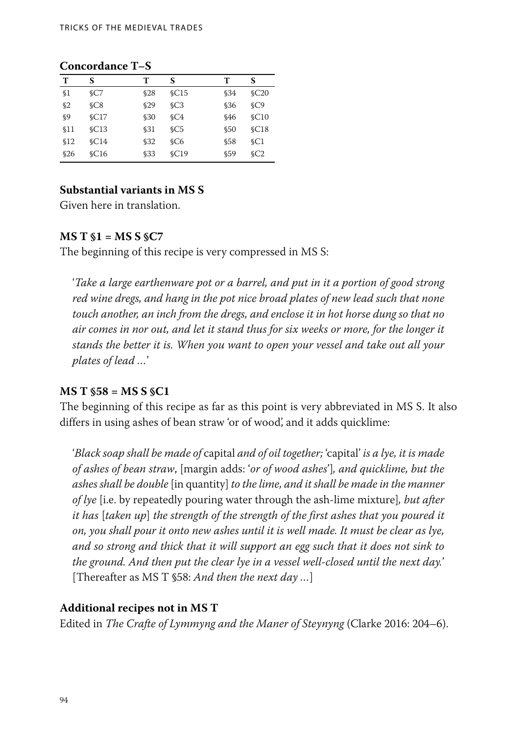# **Concordance T–S**

| т              | S               | т    | S               | т           | S               |
|----------------|-----------------|------|-----------------|-------------|-----------------|
| \$1            | SC7             | \$28 | $\mathcal{C}15$ | \$34        | $\mathcal{C}20$ |
| \$2            | SC8             | \$29 | SC3             | \$36        | SC9             |
| $\mathcal{S}9$ | $\mathcal{C}17$ | \$30 | SC4             | <b>\$46</b> | $\mathcal{C}10$ |
| \$11           | $\mathcal{C}13$ | \$31 | SC <sub>5</sub> | \$50        | $\mathcal{C}18$ |
| \$12           | $\mathcal{C}14$ | \$32 | SC6             | \$58        | $\mathcal{C}1$  |
| \$26           | $\mathcal{C}16$ | \$33 | SC19            | \$59        | SC2             |

# **Substantial variants in MS S**

Given here in translation.

### **MS T §1 = MS S §C7**

The beginning of this recipe is very compressed in MS S:

'*Take a large earthenware pot or a barrel, and put in it a portion of good strong red wine dregs, and hang in the pot nice broad plates of new lead such that none touch another, an inch from the dregs, and enclose it in hot horse dung so that no air comes in nor out, and let it stand thus for six weeks or more, for the longer it stands the better it is. When you want to open your vessel and take out all your plates of lead …*'

# **MS T §58 = MS S §C1**

The beginning of this recipe as far as this point is very abbreviated in MS S. It also differs in using ashes of bean straw 'or of wood', and it adds quicklime:

'*Black soap shall be made of* capital *and of oil together;* 'capital' *is a lye, it is made of ashes of bean straw*, [margin adds: '*or of wood ashes*']*, and quicklime, but the ashes shall be double* [in quantity] *to the lime, and it shall be made in the manner of lye* [i.e. by repeatedly pouring water through the ash-lime mixture]*, but after it has* [*taken up*] *the strength of the strength of the first ashes that you poured it on, you shall pour it onto new ashes until it is well made. It must be clear as lye, and so strong and thick that it will support an egg such that it does not sink to the ground. And then put the clear lye in a vessel well-closed until the next day.*' [Thereafter as MS T §58: *And then the next day …*]

# **Additional recipes not in MS T**

Edited in *The Crafte of Lymmyng and the Maner of Steynyng* (Clarke 2016: 204–6).